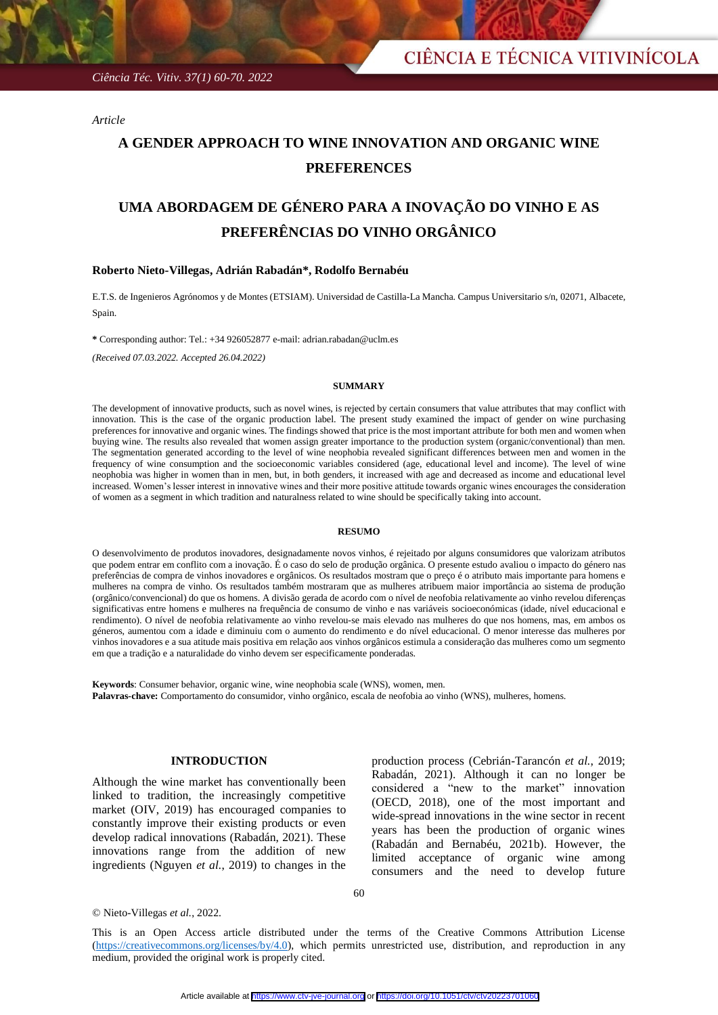*Ciência Téc. Vitiv. 37(1) 60-70. 2022*

*Article*

# **A GENDER APPROACH TO WINE INNOVATION AND ORGANIC WINE PREFERENCES**

# **UMA ABORDAGEM DE GÉNERO PARA A INOVAÇÃO DO VINHO E AS PREFERÊNCIAS DO VINHO ORGÂNICO**

# **Roberto Nieto-Villegas, Adrián Rabadán\*, Rodolfo Bernabéu**

E.T.S. de Ingenieros Agrónomos y de Montes (ETSIAM). Universidad de Castilla-La Mancha. Campus Universitario s/n, 02071, Albacete, Spain.

**\*** Corresponding author: Tel.: +34 926052877 e-mail: [adrian.rabadan@uclm.es](mailto:adrian.rabadan@uclm.es)

*(Received 07.03.2022. Accepted 26.04.2022)*

#### **SUMMARY**

The development of innovative products, such as novel wines, is rejected by certain consumers that value attributes that may conflict with innovation. This is the case of the organic production label. The present study examined the impact of gender on wine purchasing preferences for innovative and organic wines. The findings showed that price is the most important attribute for both men and women when buying wine. The results also revealed that women assign greater importance to the production system (organic/conventional) than men. The segmentation generated according to the level of wine neophobia revealed significant differences between men and women in the frequency of wine consumption and the socioeconomic variables considered (age, educational level and income). The level of wine neophobia was higher in women than in men, but, in both genders, it increased with age and decreased as income and educational level increased. Women's lesser interest in innovative wines and their more positive attitude towards organic wines encourages the consideration of women as a segment in which tradition and naturalness related to wine should be specifically taking into account.

#### **RESUMO**

O desenvolvimento de produtos inovadores, designadamente novos vinhos, é rejeitado por alguns consumidores que valorizam atributos que podem entrar em conflito com a inovação. É o caso do selo de produção orgânica. O presente estudo avaliou o impacto do género nas preferências de compra de vinhos inovadores e orgânicos. Os resultados mostram que o preço é o atributo mais importante para homens e mulheres na compra de vinho. Os resultados também mostraram que as mulheres atribuem maior importância ao sistema de produção (orgânico/convencional) do que os homens. A divisão gerada de acordo com o nível de neofobia relativamente ao vinho revelou diferenças significativas entre homens e mulheres na frequência de consumo de vinho e nas variáveis socioeconómicas (idade, nível educacional e rendimento). O nível de neofobia relativamente ao vinho revelou-se mais elevado nas mulheres do que nos homens, mas, em ambos os géneros, aumentou com a idade e diminuiu com o aumento do rendimento e do nível educacional. O menor interesse das mulheres por vinhos inovadores e a sua atitude mais positiva em relação aos vinhos orgânicos estimula a consideração das mulheres como um segmento em que a tradição e a naturalidade do vinho devem ser especificamente ponderadas.

**Keywords**: Consumer behavior, organic wine, wine neophobia scale (WNS), women, men. **Palavras-chave:** Comportamento do consumidor, vinho orgânico, escala de neofobia ao vinho (WNS), mulheres, homens.

#### **INTRODUCTION**

Although the wine market has conventionally been linked to tradition, the increasingly competitive market (OIV, 2019) has encouraged companies to constantly improve their existing products or even develop radical innovations (Rabadán, 2021). These innovations range from the addition of new ingredients (Nguyen *et al.*, 2019) to changes in the production process (Cebrián-Tarancón *et al.*, 2019; Rabadán, 2021). Although it can no longer be considered a "new to the market" innovation (OECD, 2018), one of the most important and wide-spread innovations in the wine sector in recent years has been the production of organic wines (Rabadán and Bernabéu, 2021b). However, the limited acceptance of organic wine among consumers and the need to develop future

60

© Nieto-Villegas *et al.*, 2022.

This is an Open Access article distributed under the terms of the Creative Commons Attribution License (https://creativecommons.org/licenses/by/4.0), which permits unrestricted use, distribution, and reproduction in any medium, provided the original work is properly cited.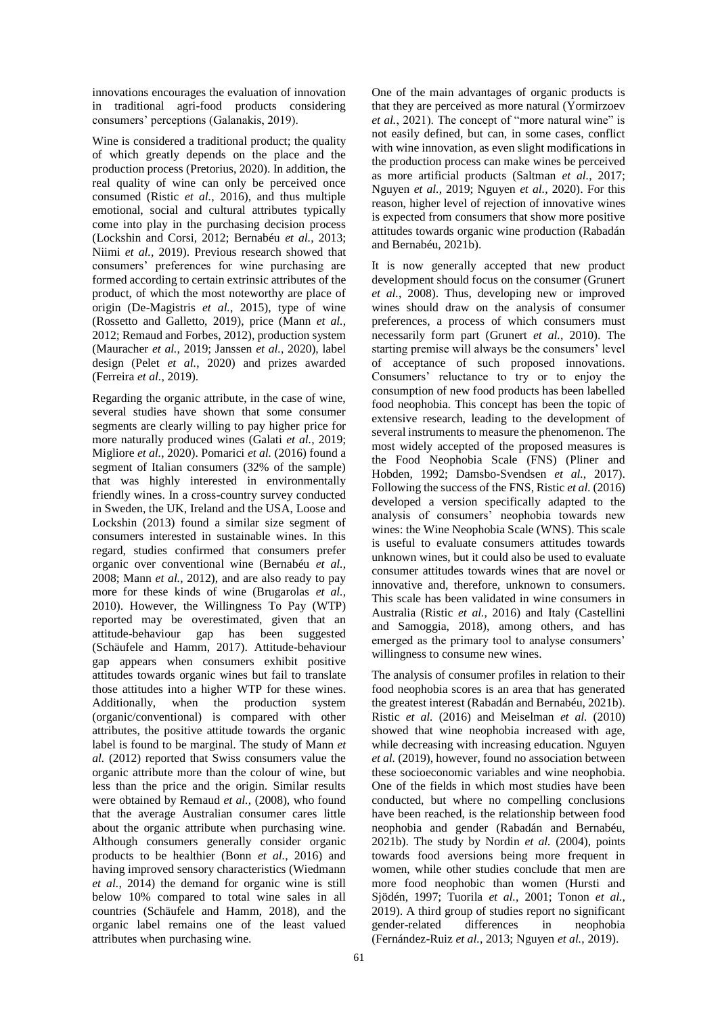innovations encourages the evaluation of innovation in traditional agri-food products considering consumers' perceptions (Galanakis, 2019).

Wine is considered a traditional product; the quality of which greatly depends on the place and the production process (Pretorius, 2020). In addition, the real quality of wine can only be perceived once consumed (Ristic *et al.*, 2016), and thus multiple emotional, social and cultural attributes typically come into play in the purchasing decision process (Lockshin and Corsi, 2012; Bernabéu *et al.*, 2013; Niimi *et al.*, 2019). Previous research showed that consumers' preferences for wine purchasing are formed according to certain extrinsic attributes of the product, of which the most noteworthy are place of origin (De-Magistris *et al.*, 2015), type of wine (Rossetto and Galletto, 2019), price (Mann *et al.*, 2012; Remaud and Forbes, 2012), production system (Mauracher *et al.*, 2019; Janssen *et al.*, 2020), label design (Pelet *et al.*, 2020) and prizes awarded (Ferreira *et al.*, 2019).

Regarding the organic attribute, in the case of wine, several studies have shown that some consumer segments are clearly willing to pay higher price for more naturally produced wines (Galati *et al.*, 2019; Migliore *et al.*, 2020). Pomarici *et al.* (2016) found a segment of Italian consumers (32% of the sample) that was highly interested in environmentally friendly wines. In a cross-country survey conducted in Sweden, the UK, Ireland and the USA, Loose and Lockshin (2013) found a similar size segment of consumers interested in sustainable wines. In this regard, studies confirmed that consumers prefer organic over conventional wine (Bernabéu *et al.*, 2008; Mann *et al.*, 2012), and are also ready to pay more for these kinds of wine (Brugarolas *et al.*, 2010). However, the Willingness To Pay (WTP) reported may be overestimated, given that an attitude-behaviour gap has been suggested (Schäufele and Hamm, 2017). Attitude-behaviour gap appears when consumers exhibit positive attitudes towards organic wines but fail to translate those attitudes into a higher WTP for these wines. Additionally, when the production system (organic/conventional) is compared with other attributes, the positive attitude towards the organic label is found to be marginal. The study of Mann *et al.* (2012) reported that Swiss consumers value the organic attribute more than the colour of wine, but less than the price and the origin. Similar results were obtained by Remaud *et al.,* (2008), who found that the average Australian consumer cares little about the organic attribute when purchasing wine. Although consumers generally consider organic products to be healthier (Bonn *et al.*, 2016) and having improved sensory characteristics (Wiedmann *et al.*, 2014) the demand for organic wine is still below 10% compared to total wine sales in all countries (Schäufele and Hamm, 2018), and the organic label remains one of the least valued attributes when purchasing wine.

One of the main advantages of organic products is that they are perceived as more natural (Yormirzoev *et al.*, 2021). The concept of "more natural wine" is not easily defined, but can, in some cases, conflict with wine innovation, as even slight modifications in the production process can make wines be perceived as more artificial products (Saltman *et al.*, 2017; Nguyen *et al.*, 2019; Nguyen *et al.*, 2020). For this reason, higher level of rejection of innovative wines is expected from consumers that show more positive attitudes towards organic wine production (Rabadán and Bernabéu, 2021b).

It is now generally accepted that new product development should focus on the consumer (Grunert *et al.*, 2008). Thus, developing new or improved wines should draw on the analysis of consumer preferences, a process of which consumers must necessarily form part (Grunert *et al.*, 2010). The starting premise will always be the consumers' level of acceptance of such proposed innovations. Consumers' reluctance to try or to enjoy the consumption of new food products has been labelled food neophobia. This concept has been the topic of extensive research, leading to the development of several instruments to measure the phenomenon. The most widely accepted of the proposed measures is the Food Neophobia Scale (FNS) (Pliner and Hobden, 1992; Damsbo-Svendsen *et al.*, 2017). Following the success of the FNS, Ristic *et al.* (2016) developed a version specifically adapted to the analysis of consumers' neophobia towards new wines: the Wine Neophobia Scale (WNS). This scale is useful to evaluate consumers attitudes towards unknown wines, but it could also be used to evaluate consumer attitudes towards wines that are novel or innovative and, therefore, unknown to consumers. This scale has been validated in wine consumers in Australia (Ristic *et al.*, 2016) and Italy (Castellini and Samoggia, 2018), among others, and has emerged as the primary tool to analyse consumers' willingness to consume new wines.

The analysis of consumer profiles in relation to their food neophobia scores is an area that has generated the greatest interest (Rabadán and Bernabéu, 2021b). Ristic *et al.* (2016) and Meiselman *et al.* (2010) showed that wine neophobia increased with age, while decreasing with increasing education. Nguyen *et al.* (2019), however, found no association between these socioeconomic variables and wine neophobia. One of the fields in which most studies have been conducted, but where no compelling conclusions have been reached, is the relationship between food neophobia and gender (Rabadán and Bernabéu, 2021b). The study by Nordin *et al.* (2004), points towards food aversions being more frequent in women, while other studies conclude that men are more food neophobic than women (Hursti and Sjödén, 1997; Tuorila *et al.*, 2001; Tonon *et al.*, 2019). A third group of studies report no significant gender-related differences in neophobia (Fernández-Ruiz *et al.*, 2013; Nguyen *et al.*, 2019).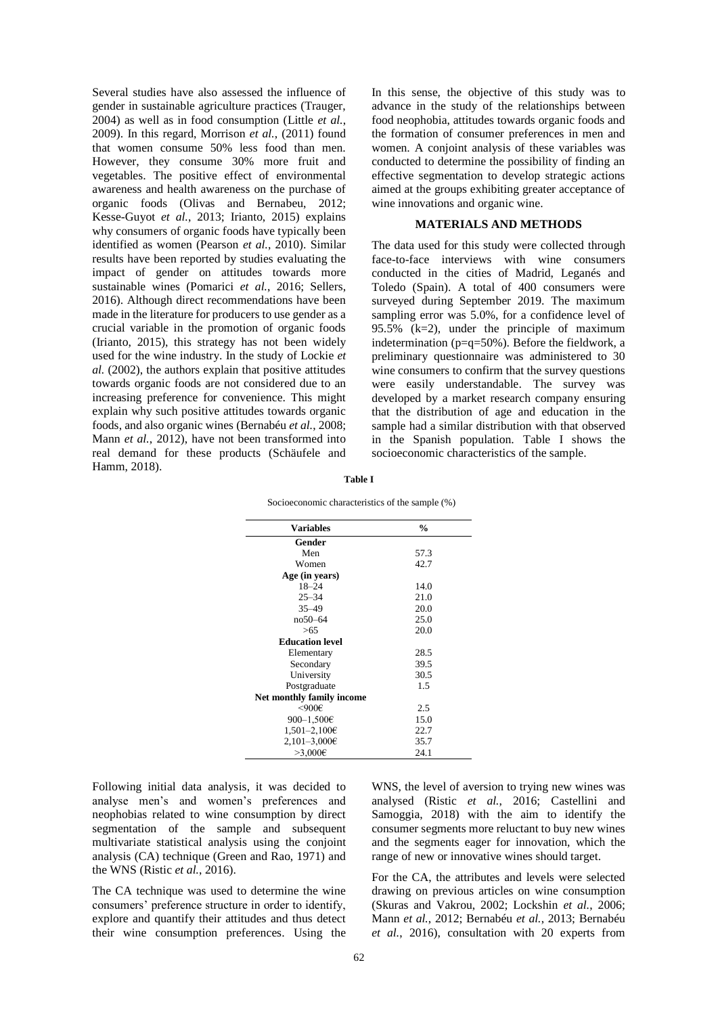Several studies have also assessed the influence of gender in sustainable agriculture practices (Trauger, 2004) as well as in food consumption (Little *et al.*, 2009). In this regard, Morrison *et al.*, (2011) found that women consume 50% less food than men. However, they consume 30% more fruit and vegetables. The positive effect of environmental awareness and health awareness on the purchase of organic foods (Olivas and Bernabeu, 2012; Kesse-Guyot *et al.*, 2013; Irianto, 2015) explains why consumers of organic foods have typically been identified as women (Pearson *et al.*, 2010). Similar results have been reported by studies evaluating the impact of gender on attitudes towards more sustainable wines (Pomarici *et al.*, 2016; Sellers, 2016). Although direct recommendations have been made in the literature for producers to use gender as a crucial variable in the promotion of organic foods (Irianto, 2015), this strategy has not been widely used for the wine industry. In the study of Lockie *et al.* (2002), the authors explain that positive attitudes towards organic foods are not considered due to an increasing preference for convenience. This might explain why such positive attitudes towards organic foods, and also organic wines (Bernabéu *et al.*, 2008; Mann *et al.*, 2012), have not been transformed into real demand for these products (Schäufele and Hamm, 2018).

In this sense, the objective of this study was to advance in the study of the relationships between food neophobia, attitudes towards organic foods and the formation of consumer preferences in men and women. A conjoint analysis of these variables was conducted to determine the possibility of finding an effective segmentation to develop strategic actions aimed at the groups exhibiting greater acceptance of wine innovations and organic wine.

#### **MATERIALS AND METHODS**

The data used for this study were collected through face-to-face interviews with wine consumers conducted in the cities of Madrid, Leganés and Toledo (Spain). A total of 400 consumers were surveyed during September 2019. The maximum sampling error was 5.0%, for a confidence level of 95.5% (k=2), under the principle of maximum indetermination (p=q=50%). Before the fieldwork, a preliminary questionnaire was administered to 30 wine consumers to confirm that the survey questions were easily understandable. The survey was developed by a market research company ensuring that the distribution of age and education in the sample had a similar distribution with that observed in the Spanish population. Table I shows the socioeconomic characteristics of the sample.

**Table I**

| Socioeconomic characteristics of the sample (%) |  |  |  |  |
|-------------------------------------------------|--|--|--|--|
|-------------------------------------------------|--|--|--|--|

| <b>Variables</b>          | $\frac{0}{0}$ |
|---------------------------|---------------|
| Gender                    |               |
| Men                       | 57.3          |
| Women                     | 42.7          |
| Age (in years)            |               |
| $18 - 24$                 | 14.0          |
| $25 - 34$                 | 21.0          |
| $35 - 49$                 | 20.0          |
| no50–64                   | 25.0          |
| >65                       | 20.0          |
| <b>Education level</b>    |               |
| Elementary                | 28.5          |
| Secondary                 | 39.5          |
| University                | 30.5          |
| Postgraduate              | 1.5           |
| Net monthly family income |               |
| <900€                     | 2.5           |
| 900-1,500€                | 15.0          |
| $1,501-2,100 \in$         | 22.7          |
| 2,101–3,000€              | 35.7          |
| $>3,000 \in$              | 24.1          |

Following initial data analysis, it was decided to analyse men's and women's preferences and neophobias related to wine consumption by direct segmentation of the sample and subsequent multivariate statistical analysis using the conjoint analysis (CA) technique (Green and Rao, 1971) and the WNS (Ristic *et al.*, 2016).

The CA technique was used to determine the wine consumers' preference structure in order to identify, explore and quantify their attitudes and thus detect their wine consumption preferences. Using the WNS, the level of aversion to trying new wines was analysed (Ristic *et al.*, 2016; Castellini and Samoggia, 2018) with the aim to identify the consumer segments more reluctant to buy new wines and the segments eager for innovation, which the range of new or innovative wines should target.

For the CA, the attributes and levels were selected drawing on previous articles on wine consumption (Skuras and Vakrou, 2002; Lockshin *et al.*, 2006; Mann *et al.*, 2012; Bernabéu *et al.*, 2013; Bernabéu *et al.*, 2016), consultation with 20 experts from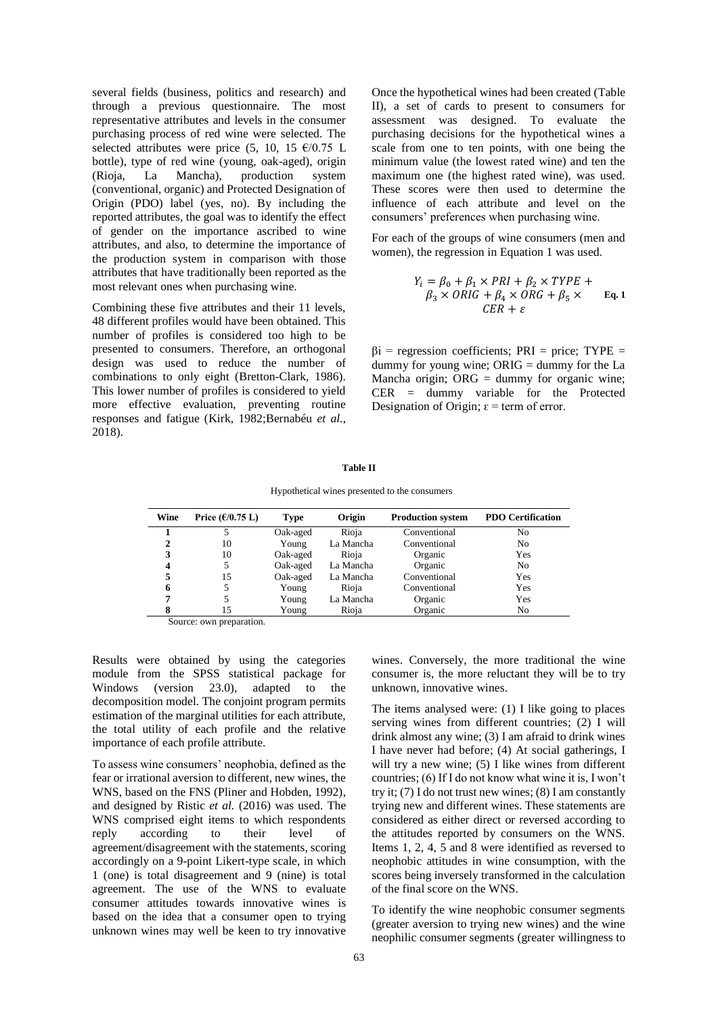several fields (business, politics and research) and through a previous questionnaire. The most representative attributes and levels in the consumer purchasing process of red wine were selected. The selected attributes were price (5, 10, 15  $\epsilon$ /0.75 L bottle), type of red wine (young, oak-aged), origin (Rioja, La Mancha), production system (conventional, organic) and Protected Designation of Origin (PDO) label (yes, no). By including the reported attributes, the goal was to identify the effect of gender on the importance ascribed to wine attributes, and also, to determine the importance of the production system in comparison with those attributes that have traditionally been reported as the most relevant ones when purchasing wine.

Combining these five attributes and their 11 levels, 48 different profiles would have been obtained. This number of profiles is considered too high to be presented to consumers. Therefore, an orthogonal design was used to reduce the number of combinations to only eight (Bretton-Clark, 1986). This lower number of profiles is considered to yield more effective evaluation, preventing routine responses and fatigue (Kirk, 1982;Bernabéu *et al.*, 2018).

Once the hypothetical wines had been created (Table II), a set of cards to present to consumers for assessment was designed. To evaluate the purchasing decisions for the hypothetical wines a scale from one to ten points, with one being the minimum value (the lowest rated wine) and ten the maximum one (the highest rated wine), was used. These scores were then used to determine the influence of each attribute and level on the consumers' preferences when purchasing wine.

For each of the groups of wine consumers (men and women), the regression in Equation 1 was used.

$$
Y_i = \beta_0 + \beta_1 \times PRI + \beta_2 \times TYPE +
$$
  
\n
$$
\beta_3 \times ORIG + \beta_4 \times ORG + \beta_5 \times \text{Eq. 1}
$$
  
\n
$$
CER + \varepsilon
$$

 $\beta i$  = regression coefficients; PRI = price; TYPE = dummy for young wine;  $ORIG =$  dummy for the La Mancha origin;  $ORG =$  dummy for organic wine; CER = dummy variable for the Protected Designation of Origin;  $\varepsilon$  = term of error.

#### **Table II**

Hypothetical wines presented to the consumers

| Wine   | Price $(\epsilon/0.75 \text{ L})$ | Type     | Origin    | <b>Production system</b> | <b>PDO Certification</b> |
|--------|-----------------------------------|----------|-----------|--------------------------|--------------------------|
|        |                                   | Oak-aged | Rioja     | Conventional             | N <sub>0</sub>           |
|        | 10                                | Young    | La Mancha | Conventional             | N <sub>0</sub>           |
| 3      | 10                                | Oak-aged | Rioja     | Organic                  | Yes                      |
| 4      |                                   | Oak-aged | La Mancha | Organic                  | N <sub>0</sub>           |
| 5      | 15                                | Oak-aged | La Mancha | Conventional             | Yes                      |
| 6      |                                   | Young    | Rioja     | Conventional             | Yes                      |
| 7      |                                   | Young    | La Mancha | Organic                  | Yes                      |
|        | 15                                | Young    | Rioja     | Organic                  | No                       |
| $\sim$ |                                   |          |           |                          |                          |

Source: own preparation.

Results were obtained by using the categories module from the SPSS statistical package for Windows (version 23.0), adapted to the decomposition model. The conjoint program permits estimation of the marginal utilities for each attribute, the total utility of each profile and the relative importance of each profile attribute.

To assess wine consumers' neophobia, defined as the fear or irrational aversion to different, new wines, the WNS, based on the FNS (Pliner and Hobden, 1992), and designed by Ristic *et al.* (2016) was used. The WNS comprised eight items to which respondents reply according to their level of agreement/disagreement with the statements, scoring accordingly on a 9-point Likert-type scale, in which 1 (one) is total disagreement and 9 (nine) is total agreement. The use of the WNS to evaluate consumer attitudes towards innovative wines is based on the idea that a consumer open to trying unknown wines may well be keen to try innovative

wines. Conversely, the more traditional the wine consumer is, the more reluctant they will be to try unknown, innovative wines.

The items analysed were: (1) I like going to places serving wines from different countries; (2) I will drink almost any wine; (3) I am afraid to drink wines I have never had before; (4) At social gatherings, I will try a new wine; (5) I like wines from different countries; (6) If I do not know what wine it is, I won't try it; (7) I do not trust new wines; (8) I am constantly trying new and different wines. These statements are considered as either direct or reversed according to the attitudes reported by consumers on the WNS. Items 1, 2, 4, 5 and 8 were identified as reversed to neophobic attitudes in wine consumption, with the scores being inversely transformed in the calculation of the final score on the WNS.

To identify the wine neophobic consumer segments (greater aversion to trying new wines) and the wine neophilic consumer segments (greater willingness to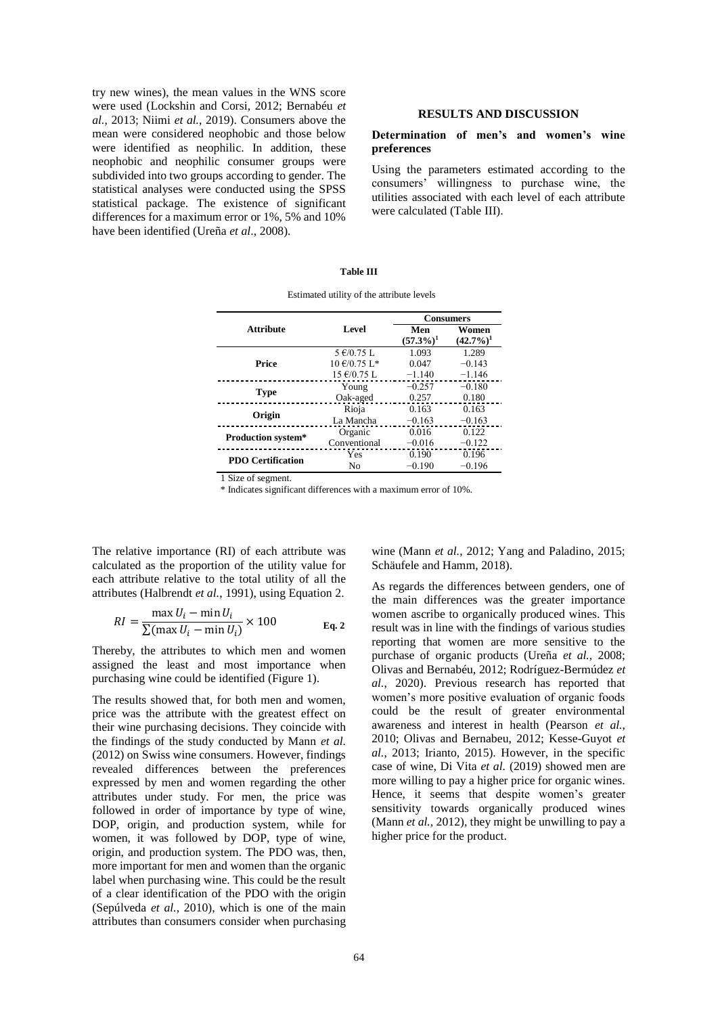try new wines), the mean values in the WNS score were used (Lockshin and Corsi, 2012; Bernabéu *et al.*, 2013; Niimi *et al.*, 2019). Consumers above the mean were considered neophobic and those below were identified as neophilic. In addition, these neophobic and neophilic consumer groups were subdivided into two groups according to gender. The statistical analyses were conducted using the SPSS statistical package. The existence of significant differences for a maximum error or 1%, 5% and 10% have been identified (Ureña *et al*., 2008).

# **RESULTS AND DISCUSSION**

## **Determination of men's and women's wine preferences**

Using the parameters estimated according to the consumers' willingness to purchase wine, the utilities associated with each level of each attribute were calculated (Table III).

### **Table III**

|                           |                                 | <b>Consumers</b>    |                       |
|---------------------------|---------------------------------|---------------------|-----------------------|
| <b>Attribute</b>          | Level                           | Men<br>$(57.3\%)^1$ | Women<br>$(42.7\%)^1$ |
| Price                     | $5 \in (0.75)$ L                | 1.093               | 1.289                 |
|                           | $10 \text{ E}/0.75 \text{ L}^*$ | 0.047               | $-0.143$              |
|                           | $15 \text{ €}/0.75 \text{ L}$   | $-1.140$            | $-1.146$              |
| <b>Type</b>               | Young                           | $-0.257$            | $-0.180$              |
|                           | Oak-aged                        | 0.257               | 0.180                 |
| Origin                    | Rioja                           | 0.163               | 0.163                 |
|                           | La Mancha                       | $-0.163$            | $-0.163$              |
| <b>Production system*</b> | Organic                         | 0.016               | 0.122                 |
|                           | Conventional                    | $-0.016$            | $-0.122$              |
| <b>PDO Certification</b>  | Yes                             | 0.190               | 0.196                 |
|                           | N <sub>0</sub>                  | $-0.190$            | $-0.196$              |

Estimated utility of the attribute levels

1 Size of segment.

\* Indicates significant differences with a maximum error of 10%.

The relative importance (RI) of each attribute was calculated as the proportion of the utility value for each attribute relative to the total utility of all the attributes (Halbrendt *et al.*, 1991), using Equation 2.

$$
RI = \frac{\max U_i - \min U_i}{\sum (\max U_i - \min U_i)} \times 100
$$
 Eq. 2

Thereby, the attributes to which men and women assigned the least and most importance when purchasing wine could be identified (Figure 1).

The results showed that, for both men and women, price was the attribute with the greatest effect on their wine purchasing decisions. They coincide with the findings of the study conducted by Mann *et al.* (2012) on Swiss wine consumers. However, findings revealed differences between the preferences expressed by men and women regarding the other attributes under study. For men, the price was followed in order of importance by type of wine, DOP, origin, and production system, while for women, it was followed by DOP, type of wine, origin, and production system. The PDO was, then, more important for men and women than the organic label when purchasing wine. This could be the result of a clear identification of the PDO with the origin (Sepúlveda *et al.*, 2010), which is one of the main attributes than consumers consider when purchasing wine (Mann *et al.*, 2012; Yang and Paladino, 2015; Schäufele and Hamm, 2018).

As regards the differences between genders, one of the main differences was the greater importance women ascribe to organically produced wines. This result was in line with the findings of various studies reporting that women are more sensitive to the purchase of organic products (Ureña *et al.*, 2008; Olivas and Bernabéu, 2012; Rodríguez-Bermúdez *et al.*, 2020). Previous research has reported that women's more positive evaluation of organic foods could be the result of greater environmental awareness and interest in health (Pearson *et al.*, 2010; Olivas and Bernabeu, 2012; Kesse-Guyot *et al.*, 2013; Irianto, 2015). However, in the specific case of wine, Di Vita *et al.* (2019) showed men are more willing to pay a higher price for organic wines. Hence, it seems that despite women's greater sensitivity towards organically produced wines (Mann *et al.*, 2012), they might be unwilling to pay a higher price for the product.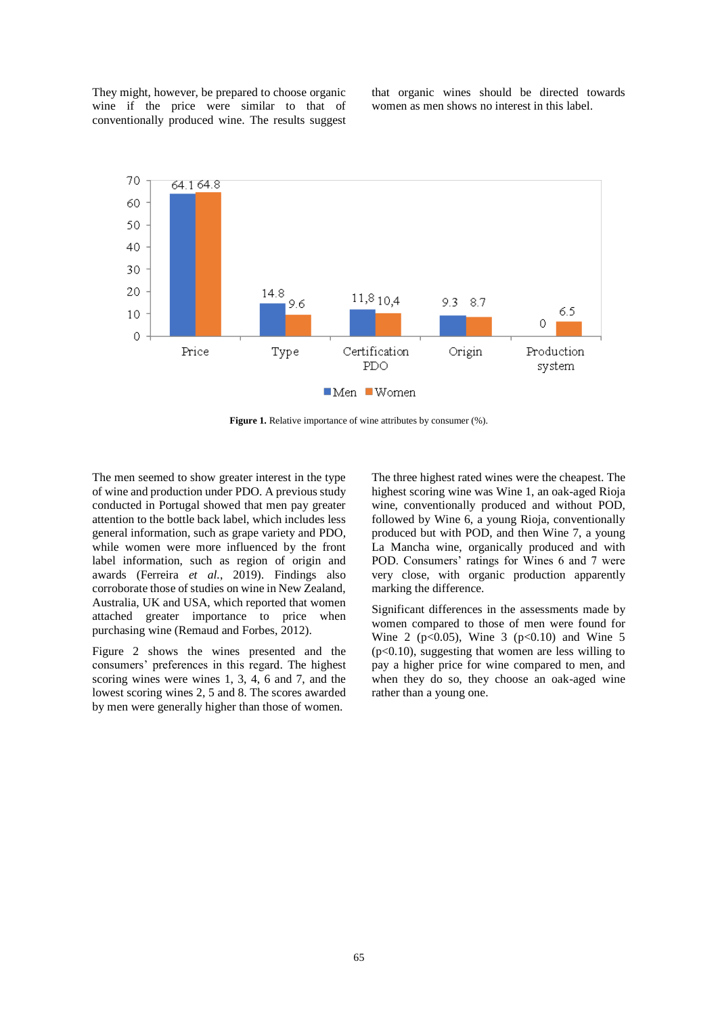They might, however, be prepared to choose organic wine if the price were similar to that of conventionally produced wine. The results suggest that organic wines should be directed towards women as men shows no interest in this label.



**Figure 1.** Relative importance of wine attributes by consumer  $(\%)$ .

The men seemed to show greater interest in the type of wine and production under PDO. A previous study conducted in Portugal showed that men pay greater attention to the bottle back label, which includes less general information, such as grape variety and PDO, while women were more influenced by the front label information, such as region of origin and awards (Ferreira *et al.*, 2019). Findings also corroborate those of studies on wine in New Zealand, Australia, UK and USA, which reported that women attached greater importance to price when purchasing wine (Remaud and Forbes, 2012).

Figure 2 shows the wines presented and the consumers' preferences in this regard. The highest scoring wines were wines 1, 3, 4, 6 and 7, and the lowest scoring wines 2, 5 and 8. The scores awarded by men were generally higher than those of women.

The three highest rated wines were the cheapest. The highest scoring wine was Wine 1, an oak-aged Rioja wine, conventionally produced and without POD, followed by Wine 6, a young Rioja, conventionally produced but with POD, and then Wine 7, a young La Mancha wine, organically produced and with POD. Consumers' ratings for Wines 6 and 7 were very close, with organic production apparently marking the difference.

Significant differences in the assessments made by women compared to those of men were found for Wine 2 (p<0.05), Wine 3 (p<0.10) and Wine 5  $(p<0.10)$ , suggesting that women are less willing to pay a higher price for wine compared to men, and when they do so, they choose an oak-aged wine rather than a young one.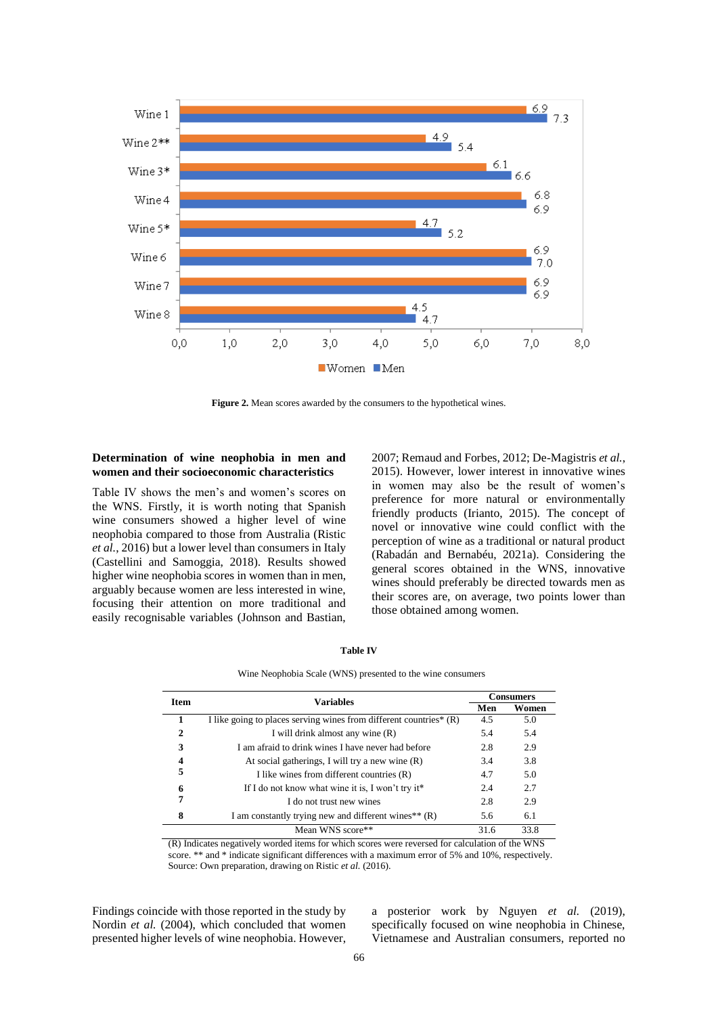

**Figure 2.** Mean scores awarded by the consumers to the hypothetical wines.

# **Determination of wine neophobia in men and women and their socioeconomic characteristics**

Table IV shows the men's and women's scores on the WNS. Firstly, it is worth noting that Spanish wine consumers showed a higher level of wine neophobia compared to those from Australia (Ristic *et al.*, 2016) but a lower level than consumers in Italy (Castellini and Samoggia, 2018). Results showed higher wine neophobia scores in women than in men, arguably because women are less interested in wine, focusing their attention on more traditional and easily recognisable variables (Johnson and Bastian,

2007; Remaud and Forbes, 2012; De-Magistris *et al.*, 2015). However, lower interest in innovative wines in women may also be the result of women's preference for more natural or environmentally friendly products (Irianto, 2015). The concept of novel or innovative wine could conflict with the perception of wine as a traditional or natural product (Rabadán and Bernabéu, 2021a). Considering the general scores obtained in the WNS, innovative wines should preferably be directed towards men as their scores are, on average, two points lower than those obtained among women.

| Table IV |  |
|----------|--|
|----------|--|

Wine Neophobia Scale (WNS) presented to the wine consumers

| <b>Item</b> | <b>Variables</b>                                                     |      | <b>Consumers</b> |  |
|-------------|----------------------------------------------------------------------|------|------------------|--|
|             |                                                                      |      | Women            |  |
|             | I like going to places serving wines from different countries $*(R)$ | 4.5  | 5.0              |  |
| 2           | I will drink almost any wine (R)                                     | 5.4  | 5.4              |  |
| 3           | I am afraid to drink wines I have never had before                   | 2.8  | 2.9              |  |
| 4           | At social gatherings, I will try a new wine (R)                      | 3.4  | 3.8              |  |
| 5           | I like wines from different countries (R)                            | 4.7  | 5.0              |  |
| 6           | If I do not know what wine it is, I won't try it*                    | 2.4  | 2.7              |  |
|             | I do not trust new wines                                             | 2.8  | 2.9              |  |
| 8           | I am constantly trying new and different wines** $(R)$               | 5.6  | 6.1              |  |
|             | Mean WNS score**                                                     | 31.6 | 33.8             |  |

(R) Indicates negatively worded items for which scores were reversed for calculation of the WNS score. \*\* and \* indicate significant differences with a maximum error of 5% and 10%, respectively.

Source: Own preparation, drawing on Ristic *et al.* (2016).

Findings coincide with those reported in the study by Nordin *et al.* (2004), which concluded that women presented higher levels of wine neophobia. However, a posterior work by Nguyen *et al.* (2019), specifically focused on wine neophobia in Chinese, Vietnamese and Australian consumers, reported no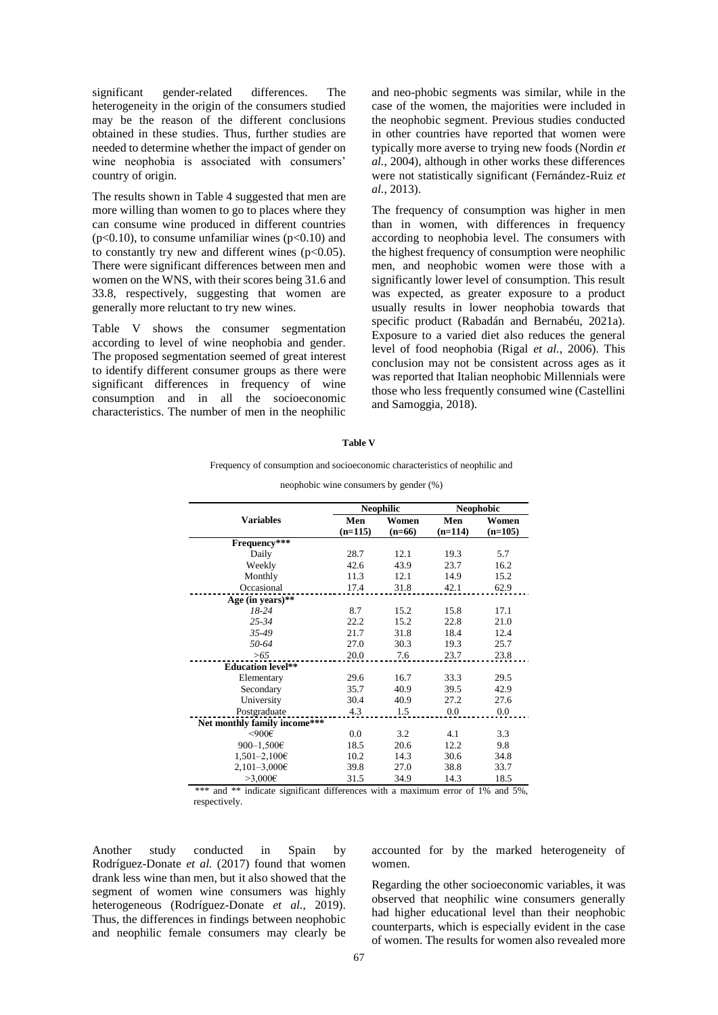significant gender-related differences. The heterogeneity in the origin of the consumers studied may be the reason of the different conclusions obtained in these studies. Thus, further studies are needed to determine whether the impact of gender on wine neophobia is associated with consumers' country of origin.

The results shown in Table 4 suggested that men are more willing than women to go to places where they can consume wine produced in different countries  $(p<0.10)$ , to consume unfamiliar wines  $(p<0.10)$  and to constantly try new and different wines  $(p<0.05)$ . There were significant differences between men and women on the WNS, with their scores being 31.6 and 33.8, respectively, suggesting that women are generally more reluctant to try new wines.

Table V shows the consumer segmentation according to level of wine neophobia and gender. The proposed segmentation seemed of great interest to identify different consumer groups as there were significant differences in frequency of wine consumption and in all the socioeconomic characteristics. The number of men in the neophilic and neo-phobic segments was similar, while in the case of the women, the majorities were included in the neophobic segment. Previous studies conducted in other countries have reported that women were typically more averse to trying new foods (Nordin *et al.*, 2004), although in other works these differences were not statistically significant (Fernández-Ruiz *et al.*, 2013).

The frequency of consumption was higher in men than in women, with differences in frequency according to neophobia level. The consumers with the highest frequency of consumption were neophilic men, and neophobic women were those with a significantly lower level of consumption. This result was expected, as greater exposure to a product usually results in lower neophobia towards that specific product (Rabadán and Bernabéu, 2021a). Exposure to a varied diet also reduces the general level of food neophobia (Rigal *et al.*, 2006). This conclusion may not be consistent across ages as it was reported that Italian neophobic Millennials were those who less frequently consumed wine (Castellini and Samoggia, 2018).

|                              | <b>Neophilic</b> |          | Neophobic |           |
|------------------------------|------------------|----------|-----------|-----------|
| <b>Variables</b>             | Men              | Women    | Men       | Women     |
|                              | $(n=115)$        | $(n=66)$ | $(n=114)$ | $(n=105)$ |
| Frequency***                 |                  |          |           |           |
| Daily                        | 28.7             | 12.1     | 19.3      | 5.7       |
| Weekly                       | 42.6             | 43.9     | 23.7      | 16.2      |
| Monthly                      | 11.3             | 12.1     | 14.9      | 15.2      |
| Occasional                   | 17.4             | 31.8     | 42.1      | 62.9      |
| Age (in years)**             |                  |          |           |           |
| $18-24$                      | 8.7              | 15.2     | 15.8      | 17.1      |
| $25 - 34$                    | 22.2             | 15.2     | 22.8      | 21.0      |
| 35-49                        | 21.7             | 31.8     | 18.4      | 12.4      |
| 50-64                        | 27.0             | 30.3     | 19.3      | 25.7      |
| >6.5                         | 20.0             | 7.6      | 23.7      | 23.8      |
| <b>Education level**</b>     |                  |          |           |           |
| Elementary                   | 29.6             | 16.7     | 33.3      | 29.5      |
| Secondary                    | 35.7             | 40.9     | 39.5      | 42.9      |
| University                   | 30.4             | 40.9     | 27.2      | 27.6      |
| Postgraduate                 | 4.3              | 1.5      | 0.0       | 0.0       |
| Net monthly family income*** |                  |          |           |           |
| <900€                        | 0.0              | 3.2      | 4.1       | 3.3       |
| 900-1,500€                   | 18.5             | 20.6     | 12.2      | 9.8       |
| $1,501 - 2,100 \in$          | 10.2             | 14.3     | 30.6      | 34.8      |
| $2,101 - 3,000 \in$          | 39.8             | 27.0     | 38.8      | 33.7      |
| $>3,000 \in$                 | 31.5             | 34.9     | 14.3      | 18.5      |

**Table V**

Frequency of consumption and socioeconomic characteristics of neophilic and

neophobic wine consumers by gender (%)

\*\*\* and \*\* indicate significant differences with a maximum error of 1% and 5%, respectively.

Another study conducted in Spain by Rodríguez-Donate *et al.* (2017) found that women drank less wine than men, but it also showed that the segment of women wine consumers was highly heterogeneous (Rodríguez-Donate *et al.*, 2019). Thus, the differences in findings between neophobic and neophilic female consumers may clearly be accounted for by the marked heterogeneity of women.

Regarding the other socioeconomic variables, it was observed that neophilic wine consumers generally had higher educational level than their neophobic counterparts, which is especially evident in the case of women. The results for women also revealed more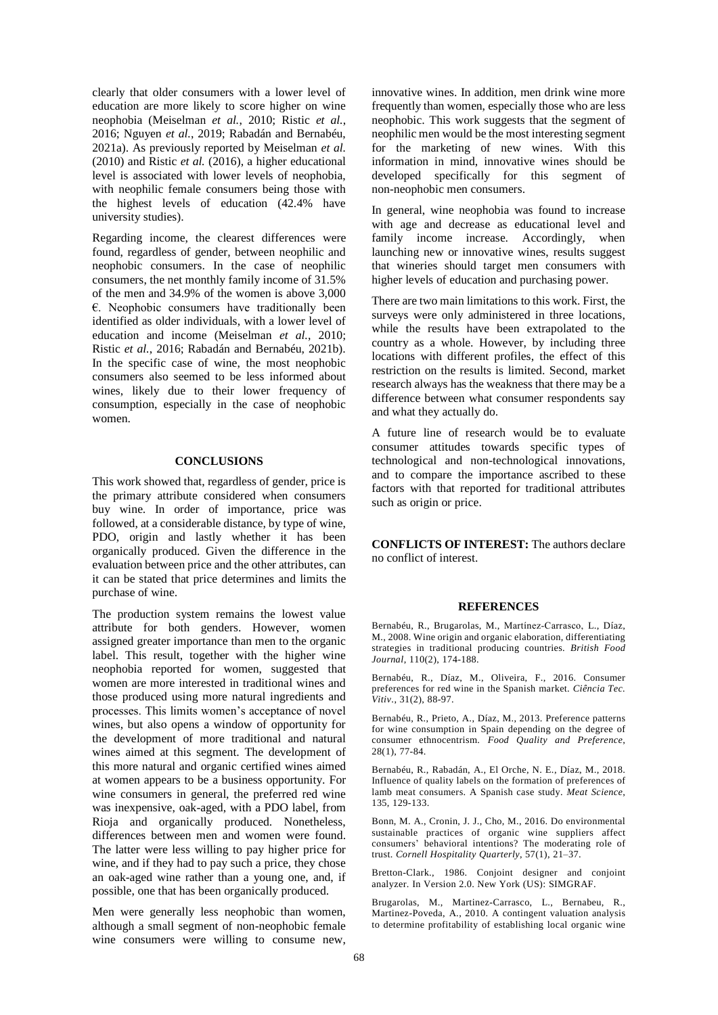clearly that older consumers with a lower level of education are more likely to score higher on wine neophobia (Meiselman *et al.*, 2010; Ristic *et al.*, 2016; Nguyen *et al.*, 2019; Rabadán and Bernabéu, 2021a). As previously reported by Meiselman *et al.* (2010) and Ristic *et al.* (2016), a higher educational level is associated with lower levels of neophobia, with neophilic female consumers being those with the highest levels of education (42.4% have university studies).

Regarding income, the clearest differences were found, regardless of gender, between neophilic and neophobic consumers. In the case of neophilic consumers, the net monthly family income of 31.5% of the men and 34.9% of the women is above 3,000  $\epsilon$ . Neophobic consumers have traditionally been identified as older individuals, with a lower level of education and income (Meiselman *et al.*, 2010; Ristic *et al.*, 2016; Rabadán and Bernabéu, 2021b). In the specific case of wine, the most neophobic consumers also seemed to be less informed about wines, likely due to their lower frequency of consumption, especially in the case of neophobic women.

# **CONCLUSIONS**

This work showed that, regardless of gender, price is the primary attribute considered when consumers buy wine. In order of importance, price was followed, at a considerable distance, by type of wine, PDO, origin and lastly whether it has been organically produced. Given the difference in the evaluation between price and the other attributes, can it can be stated that price determines and limits the purchase of wine.

The production system remains the lowest value attribute for both genders. However, women assigned greater importance than men to the organic label. This result, together with the higher wine neophobia reported for women, suggested that women are more interested in traditional wines and those produced using more natural ingredients and processes. This limits women's acceptance of novel wines, but also opens a window of opportunity for the development of more traditional and natural wines aimed at this segment. The development of this more natural and organic certified wines aimed at women appears to be a business opportunity. For wine consumers in general, the preferred red wine was inexpensive, oak-aged, with a PDO label, from Rioja and organically produced. Nonetheless, differences between men and women were found. The latter were less willing to pay higher price for wine, and if they had to pay such a price, they chose an oak-aged wine rather than a young one, and, if possible, one that has been organically produced.

Men were generally less neophobic than women, although a small segment of non-neophobic female wine consumers were willing to consume new, innovative wines. In addition, men drink wine more frequently than women, especially those who are less neophobic. This work suggests that the segment of neophilic men would be the most interesting segment for the marketing of new wines. With this information in mind, innovative wines should be developed specifically for this segment of non-neophobic men consumers.

In general, wine neophobia was found to increase with age and decrease as educational level and family income increase. Accordingly, when launching new or innovative wines, results suggest that wineries should target men consumers with higher levels of education and purchasing power.

There are two main limitations to this work. First, the surveys were only administered in three locations, while the results have been extrapolated to the country as a whole. However, by including three locations with different profiles, the effect of this restriction on the results is limited. Second, market research always has the weakness that there may be a difference between what consumer respondents say and what they actually do.

A future line of research would be to evaluate consumer attitudes towards specific types of technological and non-technological innovations, and to compare the importance ascribed to these factors with that reported for traditional attributes such as origin or price.

**CONFLICTS OF INTEREST:** The authors declare no conflict of interest.

#### **REFERENCES**

Bernabéu, R., Brugarolas, M., Martínez‐Carrasco, L., Díaz, M., 2008. Wine origin and organic elaboration, differentiating strategies in traditional producing countries. *British Food Journal*, 110(2), 174-188.

Bernabéu, R., Díaz, M., Oliveira, F., 2016. Consumer preferences for red wine in the Spanish market. *Ciência Tec. Vitiv*., 31(2), 88-97.

Bernabéu, R., Prieto, A., Díaz, M., 2013. Preference patterns for wine consumption in Spain depending on the degree of consumer ethnocentrism. *Food Quality and Preference*, 28(1), 77-84.

Bernabéu, R., Rabadán, A., El Orche, N. E., Díaz, M., 2018. Influence of quality labels on the formation of preferences of lamb meat consumers. A Spanish case study. *Meat Science*, 135, 129-133.

Bonn, M. A., Cronin, J. J., Cho, M., 2016. Do environmental sustainable practices of organic wine suppliers affect consumers' behavioral intentions? The moderating role of trust. *Cornell Hospitality Quarterly*, 57(1), 21–37.

Bretton-Clark., 1986. Conjoint designer and conjoint analyzer. In Version 2.0. New York (US): SIMGRAF.

Brugarolas, M., Martinez-Carrasco, L., Bernabeu, R., Martinez-Poveda, A., 2010. A contingent valuation analysis to determine profitability of establishing local organic wine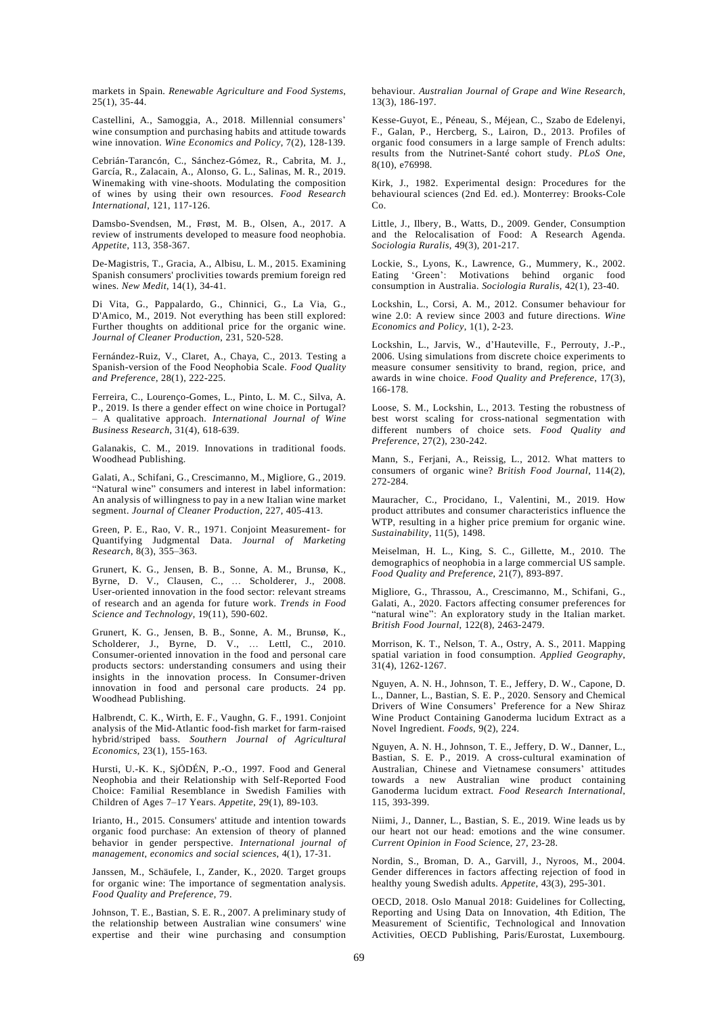markets in Spain. *Renewable Agriculture and Food Systems*,  $25(1)$ ,  $35-44$ .

Castellini, A., Samoggia, A., 2018. Millennial consumers' wine consumption and purchasing habits and attitude towards wine innovation. *Wine Economics and Policy*, 7(2), 128-139.

Cebrián-Tarancón, C., Sánchez-Gómez, R., Cabrita, M. J., García, R., Zalacain, A., Alonso, G. L., Salinas, M. R., 2019. Winemaking with vine-shoots. Modulating the composition of wines by using their own resources. *Food Research International*, 121, 117-126.

Damsbo-Svendsen, M., Frøst, M. B., Olsen, A., 2017. A review of instruments developed to measure food neophobia. *Appetite*, 113, 358-367.

De-Magistris, T., Gracia, A., Albisu, L. M., 2015. Examining Spanish consumers' proclivities towards premium foreign red wines. *New Medit*, 14(1), 34-41.

Di Vita, G., Pappalardo, G., Chinnici, G., La Via, G., D'Amico, M., 2019. Not everything has been still explored: Further thoughts on additional price for the organic wine. *Journal of Cleaner Production*, 231, 520-528.

Fernández-Ruiz, V., Claret, A., Chaya, C., 2013. Testing a Spanish-version of the Food Neophobia Scale. *Food Quality and Preference*, 28(1), 222-225.

Ferreira, C., Lourenço-Gomes, L., Pinto, L. M. C., Silva, A. P., 2019. Is there a gender effect on wine choice in Portugal? – A qualitative approach. *International Journal of Wine Business Research*, 31(4), 618-639.

Galanakis, C. M., 2019. Innovations in traditional foods. Woodhead Publishing.

Galati, A., Schifani, G., Crescimanno, M., Migliore, G., 2019. "Natural wine" consumers and interest in label information: An analysis of willingness to pay in a new Italian wine market segment. *Journal of Cleaner Production*, 227, 405-413.

Green, P. E., Rao, V. R., 1971. Conjoint Measurement- for Quantifying Judgmental Data. *Journal of Marketing Research*, 8(3), 355–363.

Grunert, K. G., Jensen, B. B., Sonne, A. M., Brunsø, K., Byrne, D. V., Clausen, C., … Scholderer, J., 2008. User-oriented innovation in the food sector: relevant streams of research and an agenda for future work. *Trends in Food Science and Technology*, 19(11), 590-602.

Grunert, K. G., Jensen, B. B., Sonne, A. M., Brunsø, K., Scholderer, J., Byrne, D. V., … Lettl, C., 2010. Consumer-oriented innovation in the food and personal care products sectors: understanding consumers and using their insights in the innovation process. In Consumer-driven innovation in food and personal care products. 24 pp. Woodhead Publishing.

Halbrendt, C. K., Wirth, E. F., Vaughn, G. F., 1991. Conjoint analysis of the Mid-Atlantic food-fish market for farm-raised hybrid/striped bass. *Southern Journal of Agricultural Economics*, 23(1), 155-163.

Hursti, U.-K. K., SjÖDÉN, P.-O., 1997. Food and General Neophobia and their Relationship with Self-Reported Food Choice: Familial Resemblance in Swedish Families with Children of Ages 7–17 Years. *Appetite*, 29(1), 89-103.

Irianto, H., 2015. Consumers' attitude and intention towards organic food purchase: An extension of theory of planned behavior in gender perspective. *International journal of management, economics and social sciences*, 4(1), 17-31.

Janssen, M., Schäufele, I., Zander, K., 2020. Target groups for organic wine: The importance of segmentation analysis. *Food Quality and Preference*, 79.

Johnson, T. E., Bastian, S. E. R., 2007. A preliminary study of the relationship between Australian wine consumers' wine expertise and their wine purchasing and consumption behaviour. *Australian Journal of Grape and Wine Research*, 13(3), 186-197.

Kesse-Guyot, E., Péneau, S., Méjean, C., Szabo de Edelenyi, F., Galan, P., Hercberg, S., Lairon, D., 2013. Profiles of organic food consumers in a large sample of French adults: results from the Nutrinet-Santé cohort study. *PLoS One*, 8(10), e76998.

Kirk, J., 1982. Experimental design: Procedures for the behavioural sciences (2nd Ed. ed.). Monterrey: Brooks-Cole Co.

Little, J., Ilbery, B., Watts, D., 2009. Gender, Consumption and the Relocalisation of Food: A Research Agenda. *Sociologia Ruralis*, 49(3), 201-217.

Lockie, S., Lyons, K., Lawrence, G., Mummery, K., 2002. Eating 'Green': Motivations behind organic food consumption in Australia. *Sociologia Ruralis*, 42(1), 23-40.

Lockshin, L., Corsi, A. M., 2012. Consumer behaviour for wine 2.0: A review since 2003 and future directions. *Wine Economics and Policy*, 1(1), 2-23.

Lockshin, L., Jarvis, W., d'Hauteville, F., Perrouty, J.-P., 2006. Using simulations from discrete choice experiments to measure consumer sensitivity to brand, region, price, and awards in wine choice. *Food Quality and Preference*, 17(3), 166-178.

Loose, S. M., Lockshin, L., 2013. Testing the robustness of best worst scaling for cross-national segmentation with different numbers of choice sets. *Food Quality and Preference*, 27(2), 230-242.

Mann, S., Ferjani, A., Reissig, L., 2012. What matters to consumers of organic wine? *British Food Journal*, 114(2), 272-284.

Mauracher, C., Procidano, I., Valentini, M., 2019. How product attributes and consumer characteristics influence the WTP, resulting in a higher price premium for organic wine. *Sustainability*, 11(5), 1498.

Meiselman, H. L., King, S. C., Gillette, M., 2010. The demographics of neophobia in a large commercial US sample. *Food Quality and Preference*, 21(7), 893-897.

Migliore, G., Thrassou, A., Crescimanno, M., Schifani, G., Galati, A., 2020. Factors affecting consumer preferences for "natural wine": An exploratory study in the Italian market. *British Food Journal*, 122(8), 2463-2479.

Morrison, K. T., Nelson, T. A., Ostry, A. S., 2011. Mapping spatial variation in food consumption. *Applied Geography*, 31(4), 1262-1267.

Nguyen, A. N. H., Johnson, T. E., Jeffery, D. W., Capone, D. L., Danner, L., Bastian, S. E. P., 2020. Sensory and Chemical Drivers of Wine Consumers' Preference for a New Shiraz Wine Product Containing Ganoderma lucidum Extract as a Novel Ingredient. *Foods*, 9(2), 224.

Nguyen, A. N. H., Johnson, T. E., Jeffery, D. W., Danner, L., Bastian, S. E. P., 2019. A cross-cultural examination of Australian, Chinese and Vietnamese consumers' attitudes towards a new Australian wine product containing Ganoderma lucidum extract. *Food Research International*, 115, 393-399.

Niimi, J., Danner, L., Bastian, S. E., 2019. Wine leads us by our heart not our head: emotions and the wine consumer. *Current Opinion in Food Scie*nce, 27, 23-28.

Nordin, S., Broman, D. A., Garvill, J., Nyroos, M., 2004. Gender differences in factors affecting rejection of food in healthy young Swedish adults. *Appetite*, 43(3), 295-301.

OECD, 2018. Oslo Manual 2018: Guidelines for Collecting, Reporting and Using Data on Innovation, 4th Edition, The Measurement of Scientific, Technological and Innovation Activities, OECD Publishing, Paris/Eurostat, Luxembourg.